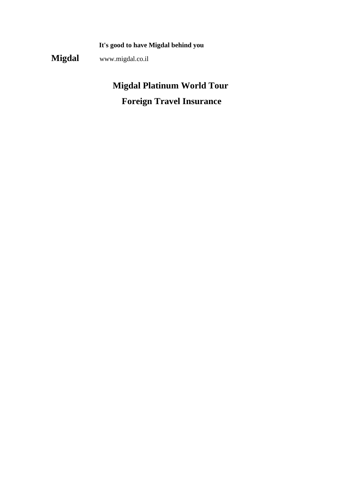**It's good to have Migdal behind you**

**Migdal** www.migdal.co.il

# **Migdal Platinum World Tour Foreign Travel Insurance**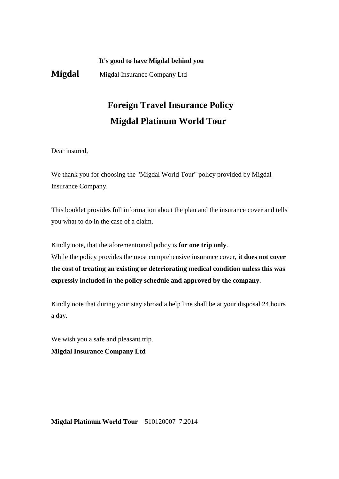### **It's good to have Migdal behind you**

**Migdal** Migdal Insurance Company Ltd

# **Foreign Travel Insurance Policy Migdal Platinum World Tour**

Dear insured,

We thank you for choosing the "Migdal World Tour" policy provided by Migdal Insurance Company.

This booklet provides full information about the plan and the insurance cover and tells you what to do in the case of a claim.

Kindly note, that the aforementioned policy is **for one trip only**. While the policy provides the most comprehensive insurance cover, **it does not cover the cost of treating an existing or deteriorating medical condition unless this was expressly included in the policy schedule and approved by the company.** 

Kindly note that during your stay abroad a help line shall be at your disposal 24 hours a day.

We wish you a safe and pleasant trip.

**Migdal Insurance Company Ltd**

**Migdal Platinum World Tour** 510120007 7.2014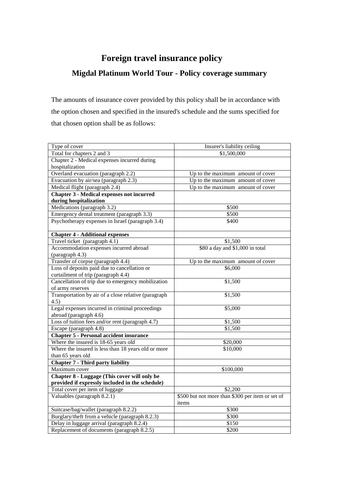# **Foreign travel insurance policy**

# **Migdal Platinum World Tour - Policy coverage summary**

The amounts of insurance cover provided by this policy shall be in accordance with the option chosen and specified in the insured's schedule and the sums specified for that chosen option shall be as follows:

| Type of cover                                                            | Insurer's liability ceiling                      |
|--------------------------------------------------------------------------|--------------------------------------------------|
| Total for chapters 2 and 3                                               | \$1,500,000                                      |
| Chapter 2 - Medical expenses incurred during                             |                                                  |
| hospitalization                                                          |                                                  |
| Overland evacuation (paragraph 2.2)                                      | Up to the maximum amount of cover                |
| Evacuation by air/sea (paragraph 2.3)                                    | Up to the maximum amount of cover                |
| Medical flight (paragraph 2.4)                                           | Up to the maximum amount of cover                |
| <b>Chapter 3 - Medical expenses not incurred</b>                         |                                                  |
| during hospitalization                                                   |                                                  |
| Medications (paragraph 3.2)                                              | \$500                                            |
| Emergency dental treatment (paragraph 3.3)                               | \$500                                            |
| Psychotherapy expenses in Israel (paragraph 3.4)                         | \$400                                            |
| <b>Chapter 4 - Additional expenses</b>                                   |                                                  |
| Travel ticket (paragraph 4.1)                                            | \$1,500                                          |
| Accommodation expenses incurred abroad                                   | \$80 a day and \$1,000 in total                  |
| (paragraph 4.3)                                                          |                                                  |
| Transfer of corpse (paragraph 4.4)                                       | Up to the maximum amount of cover                |
| Loss of deposits paid due to cancellation or                             | \$6,000                                          |
| curtailment of trip (paragraph 4.4)                                      |                                                  |
| Cancellation of trip due to emergency mobilization                       | \$1,500                                          |
| of army reserves<br>Transportation by air of a close relative (paragraph | \$1,500                                          |
| 4.5)                                                                     |                                                  |
| Legal expenses incurred in criminal proceedings                          | \$5,000                                          |
| abroad (paragraph 4.6)                                                   |                                                  |
| Loss of tuition fees and/or rent (paragraph 4.7)                         | \$1,500                                          |
| Escape (paragraph 4.8)                                                   | \$1,500                                          |
| <b>Chapter 5 - Personal accident insurance</b>                           |                                                  |
| Where the insured is 18-65 years old                                     | \$20,000                                         |
| Where the insured is less than 18 years old or more                      | \$10,000                                         |
| than 65 years old                                                        |                                                  |
| <b>Chapter 7 - Third party liability</b>                                 |                                                  |
| Maximum cover                                                            | \$100,000                                        |
| <b>Chapter 8 - Luggage (This cover will only be</b>                      |                                                  |
| provided if expressly included in the schedule)                          |                                                  |
| Total cover per item of luggage                                          | \$2,200                                          |
| Valuables (paragraph 8.2.1)                                              | \$500 but not more than \$300 per item or set of |
|                                                                          | items                                            |
| Suitcase/bag/wallet (paragraph 8.2.2)                                    | \$300                                            |
| Burglary/theft from a vehicle (paragraph 8.2.3)                          | \$300                                            |
| Delay in luggage arrival (paragraph 8.2.4)                               | \$150                                            |
| Replacement of documents (paragraph 8.2.5)                               | \$200                                            |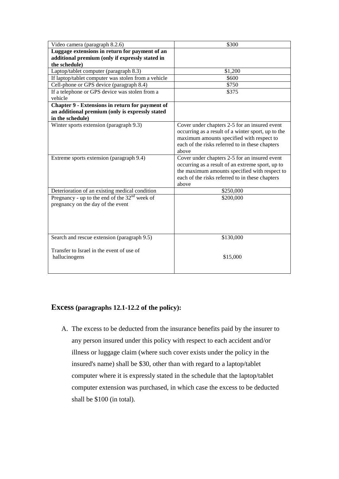| Luggage extensions in return for payment of an<br>additional premium (only if expressly stated in<br>the schedule)<br>\$1,200<br>Laptop/tablet computer (paragraph 8.3)<br>If laptop/tablet computer was stolen from a vehicle<br>\$600<br>Cell-phone or GPS device (paragraph 8.4)<br>\$750<br>If a telephone or GPS device was stolen from a<br>\$375<br>vehicle<br>Chapter 9 - Extensions in return for payment of<br>an additional premium (only is expressly stated<br>in the schedule)<br>Winter sports extension (paragraph 9.3)<br>Cover under chapters 2-5 for an insured event<br>occurring as a result of a winter sport, up to the<br>maximum amounts specified with respect to<br>each of the risks referred to in these chapters<br>above |
|---------------------------------------------------------------------------------------------------------------------------------------------------------------------------------------------------------------------------------------------------------------------------------------------------------------------------------------------------------------------------------------------------------------------------------------------------------------------------------------------------------------------------------------------------------------------------------------------------------------------------------------------------------------------------------------------------------------------------------------------------------|
|                                                                                                                                                                                                                                                                                                                                                                                                                                                                                                                                                                                                                                                                                                                                                         |
|                                                                                                                                                                                                                                                                                                                                                                                                                                                                                                                                                                                                                                                                                                                                                         |
|                                                                                                                                                                                                                                                                                                                                                                                                                                                                                                                                                                                                                                                                                                                                                         |
|                                                                                                                                                                                                                                                                                                                                                                                                                                                                                                                                                                                                                                                                                                                                                         |
|                                                                                                                                                                                                                                                                                                                                                                                                                                                                                                                                                                                                                                                                                                                                                         |
|                                                                                                                                                                                                                                                                                                                                                                                                                                                                                                                                                                                                                                                                                                                                                         |
|                                                                                                                                                                                                                                                                                                                                                                                                                                                                                                                                                                                                                                                                                                                                                         |
|                                                                                                                                                                                                                                                                                                                                                                                                                                                                                                                                                                                                                                                                                                                                                         |
|                                                                                                                                                                                                                                                                                                                                                                                                                                                                                                                                                                                                                                                                                                                                                         |
|                                                                                                                                                                                                                                                                                                                                                                                                                                                                                                                                                                                                                                                                                                                                                         |
|                                                                                                                                                                                                                                                                                                                                                                                                                                                                                                                                                                                                                                                                                                                                                         |
|                                                                                                                                                                                                                                                                                                                                                                                                                                                                                                                                                                                                                                                                                                                                                         |
|                                                                                                                                                                                                                                                                                                                                                                                                                                                                                                                                                                                                                                                                                                                                                         |
|                                                                                                                                                                                                                                                                                                                                                                                                                                                                                                                                                                                                                                                                                                                                                         |
|                                                                                                                                                                                                                                                                                                                                                                                                                                                                                                                                                                                                                                                                                                                                                         |
|                                                                                                                                                                                                                                                                                                                                                                                                                                                                                                                                                                                                                                                                                                                                                         |
| Cover under chapters 2-5 for an insured event<br>Extreme sports extension (paragraph 9.4)<br>occurring as a result of an extreme sport, up to                                                                                                                                                                                                                                                                                                                                                                                                                                                                                                                                                                                                           |
| the maximum amounts specified with respect to                                                                                                                                                                                                                                                                                                                                                                                                                                                                                                                                                                                                                                                                                                           |
| each of the risks referred to in these chapters                                                                                                                                                                                                                                                                                                                                                                                                                                                                                                                                                                                                                                                                                                         |
| above                                                                                                                                                                                                                                                                                                                                                                                                                                                                                                                                                                                                                                                                                                                                                   |
| Deterioration of an existing medical condition<br>\$250,000                                                                                                                                                                                                                                                                                                                                                                                                                                                                                                                                                                                                                                                                                             |
| Pregnancy - up to the end of the $32nd$ week of<br>\$200,000                                                                                                                                                                                                                                                                                                                                                                                                                                                                                                                                                                                                                                                                                            |
| pregnancy on the day of the event                                                                                                                                                                                                                                                                                                                                                                                                                                                                                                                                                                                                                                                                                                                       |
|                                                                                                                                                                                                                                                                                                                                                                                                                                                                                                                                                                                                                                                                                                                                                         |
|                                                                                                                                                                                                                                                                                                                                                                                                                                                                                                                                                                                                                                                                                                                                                         |
|                                                                                                                                                                                                                                                                                                                                                                                                                                                                                                                                                                                                                                                                                                                                                         |
|                                                                                                                                                                                                                                                                                                                                                                                                                                                                                                                                                                                                                                                                                                                                                         |
| Search and rescue extension (paragraph 9.5)<br>\$130,000                                                                                                                                                                                                                                                                                                                                                                                                                                                                                                                                                                                                                                                                                                |
|                                                                                                                                                                                                                                                                                                                                                                                                                                                                                                                                                                                                                                                                                                                                                         |
| Transfer to Israel in the event of use of                                                                                                                                                                                                                                                                                                                                                                                                                                                                                                                                                                                                                                                                                                               |
| \$15,000<br>hallucinogens                                                                                                                                                                                                                                                                                                                                                                                                                                                                                                                                                                                                                                                                                                                               |
|                                                                                                                                                                                                                                                                                                                                                                                                                                                                                                                                                                                                                                                                                                                                                         |

# **Excess (paragraphs 12.1-12.2 of the policy):**

A. The excess to be deducted from the insurance benefits paid by the insurer to any person insured under this policy with respect to each accident and/or illness or luggage claim (where such cover exists under the policy in the insured's name) shall be \$30, other than with regard to a laptop/tablet computer where it is expressly stated in the schedule that the laptop/tablet computer extension was purchased, in which case the excess to be deducted shall be \$100 (in total).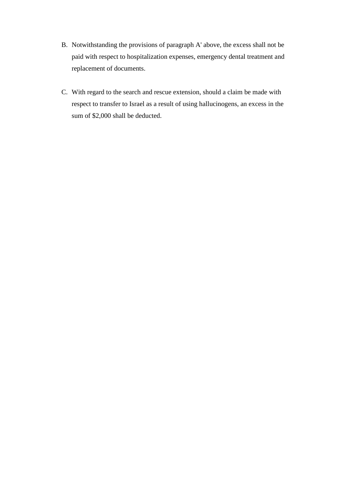- B. Notwithstanding the provisions of paragraph A' above, the excess shall not be paid with respect to hospitalization expenses, emergency dental treatment and replacement of documents.
- C. With regard to the search and rescue extension, should a claim be made with respect to transfer to Israel as a result of using hallucinogens, an excess in the sum of \$2,000 shall be deducted.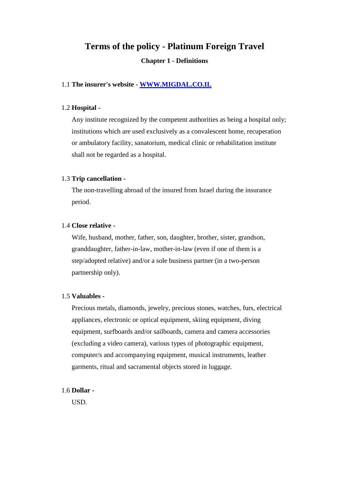# **Terms of the policy - Platinum Foreign Travel**

### **Chapter 1 - Definitions**

### 1.1 **The insurer's website - [WWW.MIGDAL.CO.IL](http://www.migdal.co.il/)**

### 1.2 **Hospital -**

Any institute recognized by the competent authorities as being a hospital only; institutions which are used exclusively as a convalescent home, recuperation or ambulatory facility, sanatorium, medical clinic or rehabilitation institute shall not be regarded as a hospital.

### 1.3 **Trip cancellation -**

The non-travelling abroad of the insured from Israel during the insurance period.

#### 1.4 **Close relative -**

Wife, husband, mother, father, son, daughter, brother, sister, grandson, granddaughter, father-in-law, mother-in-law (even if one of them is a step/adopted relative) and/or a sole business partner (in a two-person partnership only).

### 1.5 **Valuables -**

Precious metals, diamonds, jewelry, precious stones, watches, furs, electrical appliances, electronic or optical equipment, skiing equipment, diving equipment, surfboards and/or sailboards, camera and camera accessories (excluding a video camera), various types of photographic equipment, computer/s and accompanying equipment, musical instruments, leather garments, ritual and sacramental objects stored in luggage.

### 1.6 **Dollar -**

USD.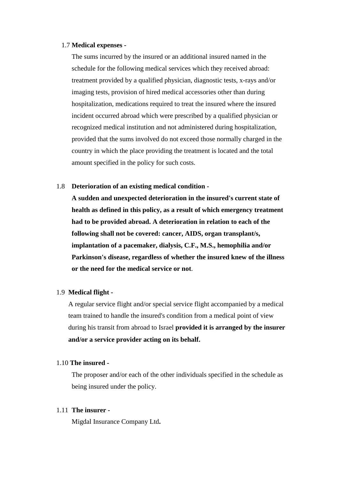### 1.7 **Medical expenses -**

The sums incurred by the insured or an additional insured named in the schedule for the following medical services which they received abroad: treatment provided by a qualified physician, diagnostic tests, x-rays and/or imaging tests, provision of hired medical accessories other than during hospitalization, medications required to treat the insured where the insured incident occurred abroad which were prescribed by a qualified physician or recognized medical institution and not administered during hospitalization, provided that the sums involved do not exceed those normally charged in the country in which the place providing the treatment is located and the total amount specified in the policy for such costs.

### 1.8 **Deterioration of an existing medical condition -**

**A sudden and unexpected deterioration in the insured's current state of health as defined in this policy, as a result of which emergency treatment had to be provided abroad. A deterioration in relation to each of the following shall not be covered: cancer, AIDS, organ transplant/s, implantation of a pacemaker, dialysis, C.F., M.S., hemophilia and/or Parkinson's disease, regardless of whether the insured knew of the illness or the need for the medical service or not**.

### 1.9 **Medical flight -**

A regular service flight and/or special service flight accompanied by a medical team trained to handle the insured's condition from a medical point of view during his transit from abroad to Israel **provided it is arranged by the insurer and/or a service provider acting on its behalf.**

### 1.10 **The insured -**

The proposer and/or each of the other individuals specified in the schedule as being insured under the policy.

### 1.11 **The insurer -**

Migdal Insurance Company Ltd**.**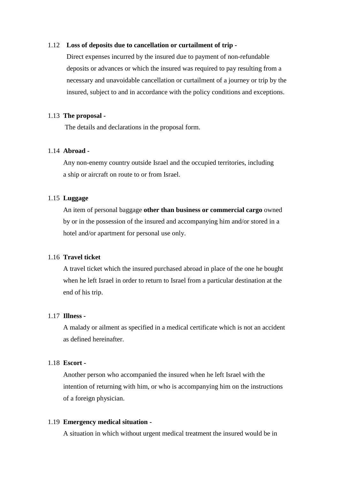### 1.12 **Loss of deposits due to cancellation or curtailment of trip -**

 Direct expenses incurred by the insured due to payment of non-refundable deposits or advances or which the insured was required to pay resulting from a necessary and unavoidable cancellation or curtailment of a journey or trip by the insured, subject to and in accordance with the policy conditions and exceptions.

### 1.13 **The proposal -**

The details and declarations in the proposal form.

### 1.14 **Abroad -**

 Any non-enemy country outside Israel and the occupied territories, including a ship or aircraft on route to or from Israel.

### 1.15 **Luggage**

An item of personal baggage **other than business or commercial cargo** owned by or in the possession of the insured and accompanying him and/or stored in a hotel and/or apartment for personal use only.

### 1.16 **Travel ticket**

 A travel ticket which the insured purchased abroad in place of the one he bought when he left Israel in order to return to Israel from a particular destination at the end of his trip.

### 1.17 **Illness -**

 A malady or ailment as specified in a medical certificate which is not an accident as defined hereinafter.

### 1.18 **Escort -**

 Another person who accompanied the insured when he left Israel with the intention of returning with him, or who is accompanying him on the instructions of a foreign physician.

### 1.19 **Emergency medical situation -**

A situation in which without urgent medical treatment the insured would be in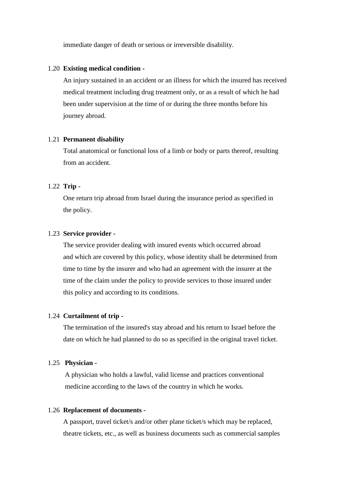immediate danger of death or serious or irreversible disability.

#### 1.20 **Existing medical condition -**

 An injury sustained in an accident or an illness for which the insured has received medical treatment including drug treatment only, or as a result of which he had been under supervision at the time of or during the three months before his journey abroad.

### 1.21 **Permanent disability**

 Total anatomical or functional loss of a limb or body or parts thereof, resulting from an accident.

### 1.22 **Trip -**

 One return trip abroad from Israel during the insurance period as specified in the policy.

### 1.23 **Service provider -**

 The service provider dealing with insured events which occurred abroad and which are covered by this policy, whose identity shall be determined from time to time by the insurer and who had an agreement with the insurer at the time of the claim under the policy to provide services to those insured under this policy and according to its conditions.

### 1.24 **Curtailment of trip -**

 The termination of the insured's stay abroad and his return to Israel before the date on which he had planned to do so as specified in the original travel ticket.

### 1.25 **Physician -**

 A physician who holds a lawful, valid license and practices conventional medicine according to the laws of the country in which he works.

### 1.26 **Replacement of documents -**

A passport, travel ticket/s and/or other plane ticket/s which may be replaced, theatre tickets, etc., as well as business documents such as commercial samples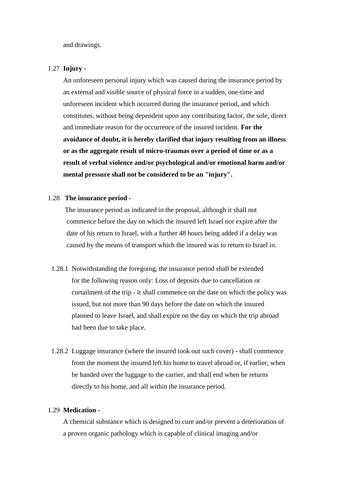and drawings.

### 1.27 **Injury -**

An unforeseen personal injury which was caused during the insurance period by an external and visible source of physical force in a sudden, one-time and unforeseen incident which occurred during the insurance period, and which constitutes, without being dependent upon any contributing factor, the sole, direct and immediate reason for the occurrence of the insured incident. **For the avoidance of doubt, it is hereby clarified that injury resulting from an illness or as the aggregate result of micro-traumas over a period of time or as a result of verbal violence and/or psychological and/or emotional harm and/or mental pressure shall not be considered to be an "injury".**

### 1.28 **The insurance period -**

 The insurance period as indicated in the proposal, although it shall not commence before the day on which the insured left Israel nor expire after the date of his return to Israel, with a further 48 hours being added if a delay was caused by the means of transport which the insured was to return to Israel in.

- 1.28.1 Notwithstanding the foregoing, the insurance period shall be extended for the following reason only: Loss of deposits due to cancellation or curtailment of the trip - it shall commence on the date on which the policy was issued, but not more than 90 days before the date on which the insured planned to leave Israel, and shall expire on the day on which the trip abroad had been due to take place.
- 1.28.2 Luggage insurance (where the insured took out such cover) shall commence from the moment the insured left his home to travel abroad or, if earlier, when he handed over the luggage to the carrier, and shall end when he returns directly to his home, and all within the insurance period.

### 1.29 **Medication -**

 A chemical substance which is designed to cure and/or prevent a deterioration of a proven organic pathology which is capable of clinical imaging and/or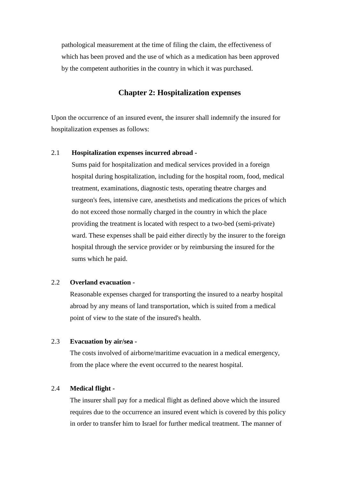pathological measurement at the time of filing the claim, the effectiveness of which has been proved and the use of which as a medication has been approved by the competent authorities in the country in which it was purchased.

### **Chapter 2: Hospitalization expenses**

Upon the occurrence of an insured event, the insurer shall indemnify the insured for hospitalization expenses as follows:

### 2.1 **Hospitalization expenses incurred abroad -**

Sums paid for hospitalization and medical services provided in a foreign hospital during hospitalization, including for the hospital room, food, medical treatment, examinations, diagnostic tests, operating theatre charges and surgeon's fees, intensive care, anesthetists and medications the prices of which do not exceed those normally charged in the country in which the place providing the treatment is located with respect to a two-bed (semi-private) ward. These expenses shall be paid either directly by the insurer to the foreign hospital through the service provider or by reimbursing the insured for the sums which he paid.

### 2.2 **Overland evacuation -**

Reasonable expenses charged for transporting the insured to a nearby hospital abroad by any means of land transportation, which is suited from a medical point of view to the state of the insured's health.

### 2.3 **Evacuation by air/sea -**

The costs involved of airborne/maritime evacuation in a medical emergency, from the place where the event occurred to the nearest hospital.

### 2.4 **Medical flight -**

The insurer shall pay for a medical flight as defined above which the insured requires due to the occurrence an insured event which is covered by this policy in order to transfer him to Israel for further medical treatment. The manner of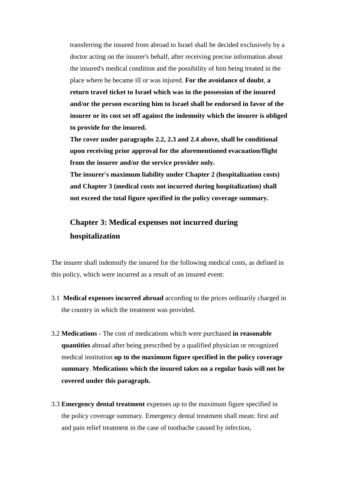transferring the insured from abroad to Israel shall be decided exclusively by a doctor acting on the insurer's behalf, after receiving precise information about the insured's medical condition and the possibility of him being treated in the place where he became ill or was injured. **For the avoidance of doubt**, **a return travel ticket to Israel which was in the possession of the insured and/or the person escorting him to Israel shall be endorsed in favor of the insurer or its cost set off against the indemnity which the insurer is obliged to provide for the insured.** 

**The cover under paragraphs 2.2, 2.3 and 2.4 above, shall be conditional upon receiving prior approval for the aforementioned evacuation/flight from the insurer and/or the service provider only.**

**The insurer's maximum liability under Chapter 2 (hospitalization costs) and Chapter 3 (medical costs not incurred during hospitalization) shall not exceed the total figure specified in the policy coverage summary.** 

# **Chapter 3: Medical expenses not incurred during hospitalization**

The insurer shall indemnify the insured for the following medical costs, as defined in this policy, which were incurred as a result of an insured event:

- 3.1 **Medical expenses incurred abroad** according to the prices ordinarily charged in the country in which the treatment was provided.
- 3.2 **Medications**  The cost of medications which were purchased **in reasonable quantities** abroad after being prescribed by a qualified physician or recognized medical institution **up to the maximum figure specified in the policy coverage summary**. **Medications which the insured takes on a regular basis will not be covered under this paragraph.**
- 3.3 **Emergency dental treatment** expenses up to the maximum figure specified in the policy coverage summary. Emergency dental treatment shall mean: first aid and pain relief treatment in the case of toothache caused by infection,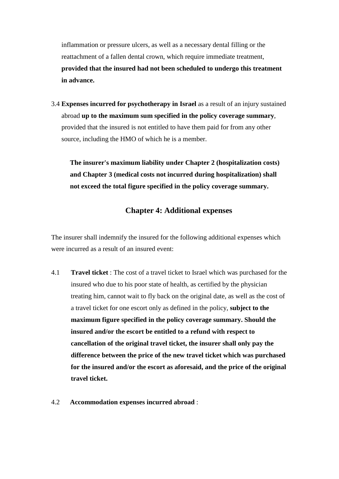inflammation or pressure ulcers, as well as a necessary dental filling or the reattachment of a fallen dental crown, which require immediate treatment, **provided that the insured had not been scheduled to undergo this treatment in advance.** 

3.4 **Expenses incurred for psychotherapy in Israel** as a result of an injury sustained abroad **up to the maximum sum specified in the policy coverage summary**, provided that the insured is not entitled to have them paid for from any other source, including the HMO of which he is a member.

**The insurer's maximum liability under Chapter 2 (hospitalization costs) and Chapter 3 (medical costs not incurred during hospitalization) shall not exceed the total figure specified in the policy coverage summary.** 

# **Chapter 4: Additional expenses**

The insurer shall indemnify the insured for the following additional expenses which were incurred as a result of an insured event:

- 4.1 **Travel ticket** : The cost of a travel ticket to Israel which was purchased for the insured who due to his poor state of health, as certified by the physician treating him, cannot wait to fly back on the original date, as well as the cost of a travel ticket for one escort only as defined in the policy, **subject to the maximum figure specified in the policy coverage summary. Should the insured and/or the escort be entitled to a refund with respect to cancellation of the original travel ticket, the insurer shall only pay the difference between the price of the new travel ticket which was purchased for the insured and/or the escort as aforesaid, and the price of the original travel ticket.**
- 4.2 **Accommodation expenses incurred abroad** :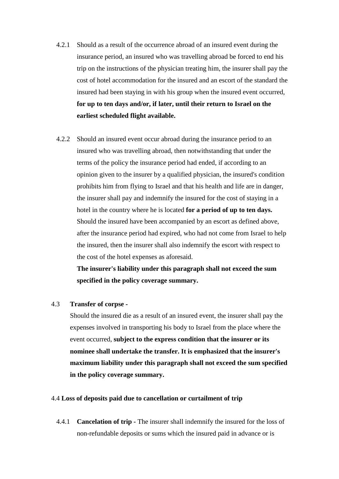- 4.2.1 Should as a result of the occurrence abroad of an insured event during the insurance period, an insured who was travelling abroad be forced to end his trip on the instructions of the physician treating him, the insurer shall pay the cost of hotel accommodation for the insured and an escort of the standard the insured had been staying in with his group when the insured event occurred, **for up to ten days and/or, if later, until their return to Israel on the earliest scheduled flight available.**
- 4.2.2 Should an insured event occur abroad during the insurance period to an insured who was travelling abroad, then notwithstanding that under the terms of the policy the insurance period had ended, if according to an opinion given to the insurer by a qualified physician, the insured's condition prohibits him from flying to Israel and that his health and life are in danger, the insurer shall pay and indemnify the insured for the cost of staying in a hotel in the country where he is located **for a period of up to ten days.** Should the insured have been accompanied by an escort as defined above, after the insurance period had expired, who had not come from Israel to help the insured, then the insurer shall also indemnify the escort with respect to the cost of the hotel expenses as aforesaid.

**The insurer's liability under this paragraph shall not exceed the sum specified in the policy coverage summary.**

### 4.3 **Transfer of corpse -**

Should the insured die as a result of an insured event, the insurer shall pay the expenses involved in transporting his body to Israel from the place where the event occurred, **subject to the express condition that the insurer or its nominee shall undertake the transfer. It is emphasized that the insurer's maximum liability under this paragraph shall not exceed the sum specified in the policy coverage summary.** 

### 4.4 **Loss of deposits paid due to cancellation or curtailment of trip**

4.4.1 **Cancelation of trip -** The insurer shall indemnify the insured for the loss of non-refundable deposits or sums which the insured paid in advance or is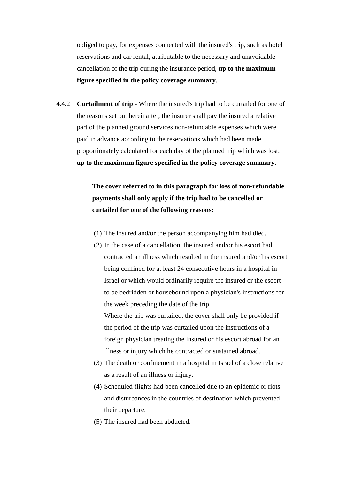obliged to pay, for expenses connected with the insured's trip, such as hotel reservations and car rental, attributable to the necessary and unavoidable cancellation of the trip during the insurance period, **up to the maximum figure specified in the policy coverage summary**.

4.4.2 **Curtailment of trip** - Where the insured's trip had to be curtailed for one of the reasons set out hereinafter, the insurer shall pay the insured a relative part of the planned ground services non-refundable expenses which were paid in advance according to the reservations which had been made, proportionately calculated for each day of the planned trip which was lost, **up to the maximum figure specified in the policy coverage summary**.

> **The cover referred to in this paragraph for loss of non-refundable payments shall only apply if the trip had to be cancelled or curtailed for one of the following reasons:**

- (1) The insured and/or the person accompanying him had died.
- (2) In the case of a cancellation, the insured and/or his escort had contracted an illness which resulted in the insured and/or his escort being confined for at least 24 consecutive hours in a hospital in Israel or which would ordinarily require the insured or the escort to be bedridden or housebound upon a physician's instructions for the week preceding the date of the trip. Where the trip was curtailed, the cover shall only be provided if

the period of the trip was curtailed upon the instructions of a foreign physician treating the insured or his escort abroad for an illness or injury which he contracted or sustained abroad.

- (3) The death or confinement in a hospital in Israel of a close relative as a result of an illness or injury.
- (4) Scheduled flights had been cancelled due to an epidemic or riots and disturbances in the countries of destination which prevented their departure.
- (5) The insured had been abducted.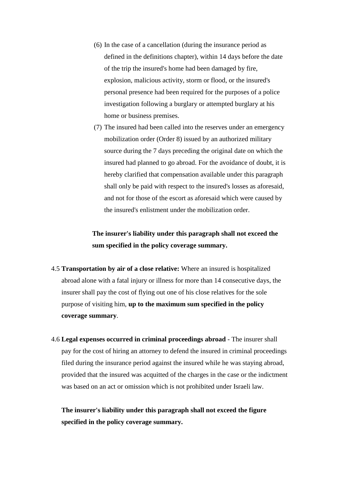- (6) In the case of a cancellation (during the insurance period as defined in the definitions chapter), within 14 days before the date of the trip the insured's home had been damaged by fire, explosion, malicious activity, storm or flood, or the insured's personal presence had been required for the purposes of a police investigation following a burglary or attempted burglary at his home or business premises.
- (7) The insured had been called into the reserves under an emergency mobilization order (Order 8) issued by an authorized military source during the 7 days preceding the original date on which the insured had planned to go abroad. For the avoidance of doubt, it is hereby clarified that compensation available under this paragraph shall only be paid with respect to the insured's losses as aforesaid, and not for those of the escort as aforesaid which were caused by the insured's enlistment under the mobilization order.

# **The insurer's liability under this paragraph shall not exceed the sum specified in the policy coverage summary.**

- 4.5 **Transportation by air of a close relative:** Where an insured is hospitalized abroad alone with a fatal injury or illness for more than 14 consecutive days, the insurer shall pay the cost of flying out one of his close relatives for the sole purpose of visiting him, **up to the maximum sum specified in the policy coverage summary**.
- 4.6 **Legal expenses occurred in criminal proceedings abroad** The insurer shall pay for the cost of hiring an attorney to defend the insured in criminal proceedings filed during the insurance period against the insured while he was staying abroad, provided that the insured was acquitted of the charges in the case or the indictment was based on an act or omission which is not prohibited under Israeli law.

**The insurer's liability under this paragraph shall not exceed the figure specified in the policy coverage summary.**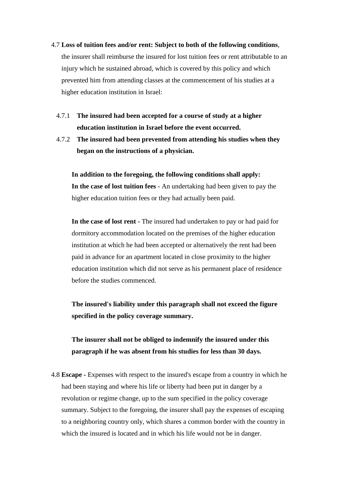- 4.7 **Loss of tuition fees and/or rent: Subject to both of the following conditions**, the insurer shall reimburse the insured for lost tuition fees or rent attributable to an injury which he sustained abroad, which is covered by this policy and which prevented him from attending classes at the commencement of his studies at a higher education institution in Israel:
	- 4.7.1 **The insured had been accepted for a course of study at a higher education institution in Israel before the event occurred.**
	- 4.7.2 **The insured had been prevented from attending his studies when they began on the instructions of a physician.**

**In addition to the foregoing, the following conditions shall apply: In the case of lost tuition fees** - An undertaking had been given to pay the higher education tuition fees or they had actually been paid.

**In the case of lost rent -** The insured had undertaken to pay or had paid for dormitory accommodation located on the premises of the higher education institution at which he had been accepted or alternatively the rent had been paid in advance for an apartment located in close proximity to the higher education institution which did not serve as his permanent place of residence before the studies commenced.

**The insured's liability under this paragraph shall not exceed the figure specified in the policy coverage summary.** 

# **The insurer shall not be obliged to indemnify the insured under this paragraph if he was absent from his studies for less than 30 days.**

4.8 **Escape -** Expenses with respect to the insured's escape from a country in which he had been staying and where his life or liberty had been put in danger by a revolution or regime change, up to the sum specified in the policy coverage summary. Subject to the foregoing, the insurer shall pay the expenses of escaping to a neighboring country only, which shares a common border with the country in which the insured is located and in which his life would not be in danger.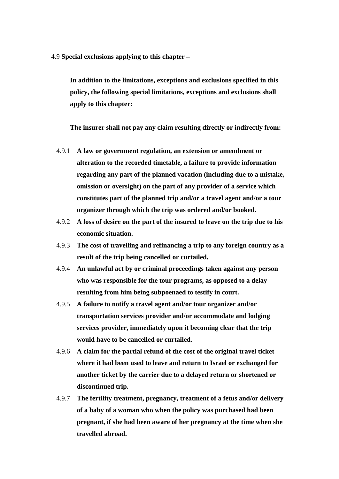4.9 **Special exclusions applying to this chapter –**

**In addition to the limitations, exceptions and exclusions specified in this policy, the following special limitations, exceptions and exclusions shall apply to this chapter:**

**The insurer shall not pay any claim resulting directly or indirectly from:**

- 4.9.1 **A law or government regulation, an extension or amendment or alteration to the recorded timetable, a failure to provide information regarding any part of the planned vacation (including due to a mistake, omission or oversight) on the part of any provider of a service which constitutes part of the planned trip and/or a travel agent and/or a tour organizer through which the trip was ordered and/or booked.**
- 4.9.2 **A loss of desire on the part of the insured to leave on the trip due to his economic situation.**
- 4.9.3 **The cost of travelling and refinancing a trip to any foreign country as a result of the trip being cancelled or curtailed.**
- 4.9.4 **An unlawful act by or criminal proceedings taken against any person who was responsible for the tour programs, as opposed to a delay resulting from him being subpoenaed to testify in court.**
- 4.9.5 **A failure to notify a travel agent and/or tour organizer and/or transportation services provider and/or accommodate and lodging services provider, immediately upon it becoming clear that the trip would have to be cancelled or curtailed.**
- 4.9.6 **A claim for the partial refund of the cost of the original travel ticket where it had been used to leave and return to Israel or exchanged for another ticket by the carrier due to a delayed return or shortened or discontinued trip.**
- 4.9.7 **The fertility treatment, pregnancy, treatment of a fetus and/or delivery of a baby of a woman who when the policy was purchased had been pregnant, if she had been aware of her pregnancy at the time when she travelled abroad.**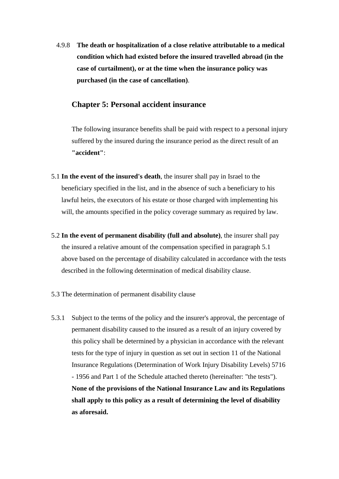4.9.8 **The death or hospitalization of a close relative attributable to a medical condition which had existed before the insured travelled abroad (in the case of curtailment), or at the time when the insurance policy was purchased (in the case of cancellation)**.

### **Chapter 5: Personal accident insurance**

The following insurance benefits shall be paid with respect to a personal injury suffered by the insured during the insurance period as the direct result of an **"accident"**:

- 5.1 **In the event of the insured's death**, the insurer shall pay in Israel to the beneficiary specified in the list, and in the absence of such a beneficiary to his lawful heirs, the executors of his estate or those charged with implementing his will, the amounts specified in the policy coverage summary as required by law.
- 5.2 **In the event of permanent disability (full and absolute)**, the insurer shall pay the insured a relative amount of the compensation specified in paragraph 5.1 above based on the percentage of disability calculated in accordance with the tests described in the following determination of medical disability clause.
- 5.3 The determination of permanent disability clause
- 5.3.1 Subject to the terms of the policy and the insurer's approval, the percentage of permanent disability caused to the insured as a result of an injury covered by this policy shall be determined by a physician in accordance with the relevant tests for the type of injury in question as set out in section 11 of the National Insurance Regulations (Determination of Work Injury Disability Levels) 5716 - 1956 and Part 1 of the Schedule attached thereto (hereinafter: "the tests"). **None of the provisions of the National Insurance Law and its Regulations shall apply to this policy as a result of determining the level of disability as aforesaid.**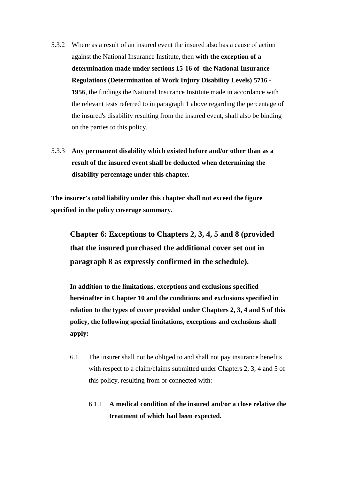- 5.3.2 Where as a result of an insured event the insured also has a cause of action against the National Insurance Institute, then **with the exception of a determination made under sections 15-16 of the National Insurance Regulations (Determination of Work Injury Disability Levels) 5716 - 1956**, the findings the National Insurance Institute made in accordance with the relevant tests referred to in paragraph 1 above regarding the percentage of the insured's disability resulting from the insured event, shall also be binding on the parties to this policy.
- 5.3.3 **Any permanent disability which existed before and/or other than as a result of the insured event shall be deducted when determining the disability percentage under this chapter.**

**The insurer's total liability under this chapter shall not exceed the figure specified in the policy coverage summary.** 

**Chapter 6: Exceptions to Chapters 2, 3, 4, 5 and 8 (provided that the insured purchased the additional cover set out in paragraph 8 as expressly confirmed in the schedule).** 

**In addition to the limitations, exceptions and exclusions specified hereinafter in Chapter 10 and the conditions and exclusions specified in relation to the types of cover provided under Chapters 2, 3, 4 and 5 of this policy, the following special limitations, exceptions and exclusions shall apply:**

- 6.1 The insurer shall not be obliged to and shall not pay insurance benefits with respect to a claim/claims submitted under Chapters 2, 3, 4 and 5 of this policy, resulting from or connected with:
	- 6.1.1 **A medical condition of the insured and/or a close relative the treatment of which had been expected.**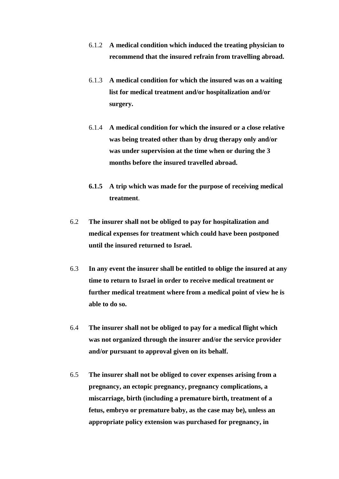- 6.1.2 **A medical condition which induced the treating physician to recommend that the insured refrain from travelling abroad.**
- 6.1.3 **A medical condition for which the insured was on a waiting list for medical treatment and/or hospitalization and/or surgery.**
- 6.1.4 **A medical condition for which the insured or a close relative was being treated other than by drug therapy only and/or was under supervision at the time when or during the 3 months before the insured travelled abroad.**
- **6.1.5 A trip which was made for the purpose of receiving medical treatment**.
- 6.2 **The insurer shall not be obliged to pay for hospitalization and medical expenses for treatment which could have been postponed until the insured returned to Israel.**
- 6.3 **In any event the insurer shall be entitled to oblige the insured at any time to return to Israel in order to receive medical treatment or further medical treatment where from a medical point of view he is able to do so.**
- 6.4 **The insurer shall not be obliged to pay for a medical flight which was not organized through the insurer and/or the service provider and/or pursuant to approval given on its behalf.**
- 6.5 **The insurer shall not be obliged to cover expenses arising from a pregnancy, an ectopic pregnancy, pregnancy complications, a miscarriage, birth (including a premature birth, treatment of a fetus, embryo or premature baby, as the case may be), unless an appropriate policy extension was purchased for pregnancy, in**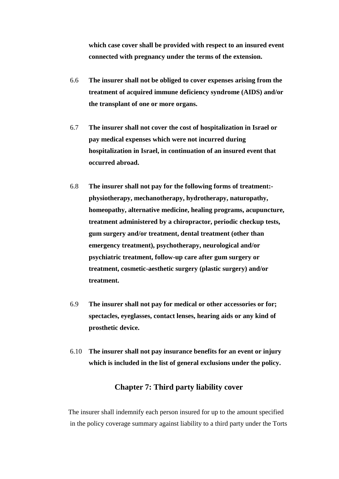**which case cover shall be provided with respect to an insured event connected with pregnancy under the terms of the extension.** 

- 6.6 **The insurer shall not be obliged to cover expenses arising from the treatment of acquired immune deficiency syndrome (AIDS) and/or the transplant of one or more organs.**
- 6.7 **The insurer shall not cover the cost of hospitalization in Israel or pay medical expenses which were not incurred during hospitalization in Israel, in continuation of an insured event that occurred abroad.**
- 6.8 **The insurer shall not pay for the following forms of treatment: physiotherapy, mechanotherapy, hydrotherapy, naturopathy, homeopathy, alternative medicine, healing programs, acupuncture, treatment administered by a chiropractor, periodic checkup tests, gum surgery and/or treatment, dental treatment (other than emergency treatment), psychotherapy, neurological and/or psychiatric treatment, follow-up care after gum surgery or treatment, cosmetic-aesthetic surgery (plastic surgery) and/or treatment.**
- 6.9 **The insurer shall not pay for medical or other accessories or for; spectacles, eyeglasses, contact lenses, hearing aids or any kind of prosthetic device.**
- 6.10 **The insurer shall not pay insurance benefits for an event or injury which is included in the list of general exclusions under the policy.**

## **Chapter 7: Third party liability cover**

The insurer shall indemnify each person insured for up to the amount specified in the policy coverage summary against liability to a third party under the Torts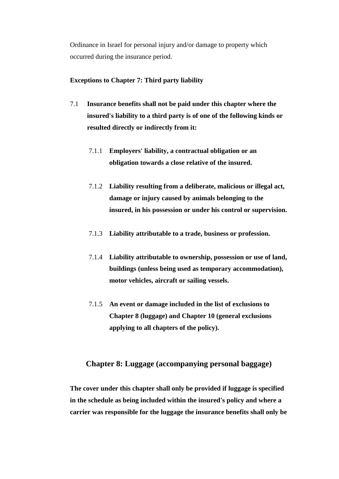Ordinance in Israel for personal injury and/or damage to property which occurred during the insurance period.

### **Exceptions to Chapter 7: Third party liability**

- 7.1 **Insurance benefits shall not be paid under this chapter where the insured's liability to a third party is of one of the following kinds or resulted directly or indirectly from it:**
	- 7.1.1 **Employers' liability, a contractual obligation or an obligation towards a close relative of the insured.**
	- 7.1.2 **Liability resulting from a deliberate, malicious or illegal act, damage or injury caused by animals belonging to the insured, in his possession or under his control or supervision.**
	- 7.1.3 **Liability attributable to a trade, business or profession.**
	- 7.1.4 **Liability attributable to ownership, possession or use of land, buildings (unless being used as temporary accommodation), motor vehicles, aircraft or sailing vessels.**
	- 7.1.5 **An event or damage included in the list of exclusions to Chapter 8 (luggage) and Chapter 10 (general exclusions applying to all chapters of the policy).**

# **Chapter 8: Luggage (accompanying personal baggage)**

 **The cover under this chapter shall only be provided if luggage is specified in the schedule as being included within the insured's policy and where a carrier was responsible for the luggage the insurance benefits shall only be**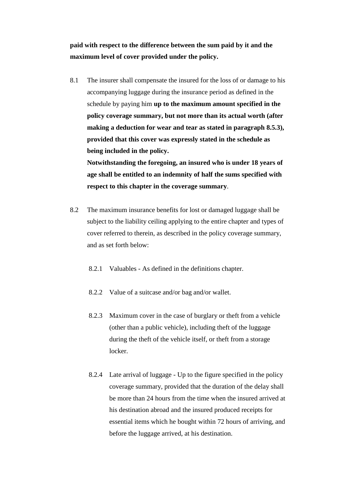**paid with respect to the difference between the sum paid by it and the maximum level of cover provided under the policy.**

8.1 The insurer shall compensate the insured for the loss of or damage to his accompanying luggage during the insurance period as defined in the schedule by paying him **up to the maximum amount specified in the policy coverage summary, but not more than its actual worth (after making a deduction for wear and tear as stated in paragraph 8.5.3), provided that this cover was expressly stated in the schedule as being included in the policy.**

**Notwithstanding the foregoing, an insured who is under 18 years of age shall be entitled to an indemnity of half the sums specified with respect to this chapter in the coverage summary**.

- 8.2 The maximum insurance benefits for lost or damaged luggage shall be subject to the liability ceiling applying to the entire chapter and types of cover referred to therein, as described in the policy coverage summary, and as set forth below:
	- 8.2.1 Valuables As defined in the definitions chapter.
	- 8.2.2 Value of a suitcase and/or bag and/or wallet.
	- 8.2.3 Maximum cover in the case of burglary or theft from a vehicle (other than a public vehicle), including theft of the luggage during the theft of the vehicle itself, or theft from a storage locker.
	- 8.2.4 Late arrival of luggage Up to the figure specified in the policy coverage summary, provided that the duration of the delay shall be more than 24 hours from the time when the insured arrived at his destination abroad and the insured produced receipts for essential items which he bought within 72 hours of arriving, and before the luggage arrived, at his destination.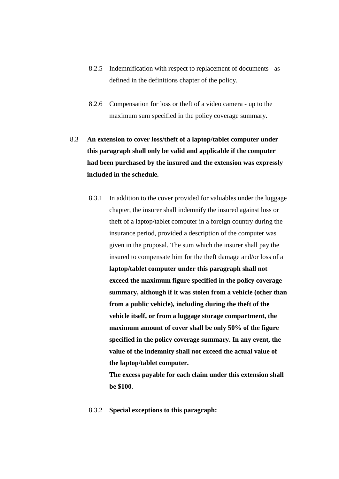- 8.2.5 Indemnification with respect to replacement of documents as defined in the definitions chapter of the policy.
- 8.2.6 Compensation for loss or theft of a video camera up to the maximum sum specified in the policy coverage summary.
- 8.3 **An extension to cover loss/theft of a laptop/tablet computer under this paragraph shall only be valid and applicable if the computer had been purchased by the insured and the extension was expressly included in the schedule.** 
	- 8.3.1 In addition to the cover provided for valuables under the luggage chapter, the insurer shall indemnify the insured against loss or theft of a laptop/tablet computer in a foreign country during the insurance period, provided a description of the computer was given in the proposal. The sum which the insurer shall pay the insured to compensate him for the theft damage and/or loss of a **laptop/tablet computer under this paragraph shall not exceed the maximum figure specified in the policy coverage summary, although if it was stolen from a vehicle (other than from a public vehicle), including during the theft of the vehicle itself, or from a luggage storage compartment, the maximum amount of cover shall be only 50% of the figure specified in the policy coverage summary. In any event, the value of the indemnity shall not exceed the actual value of the laptop/tablet computer.**

**The excess payable for each claim under this extension shall be \$100**.

8.3.2 **Special exceptions to this paragraph:**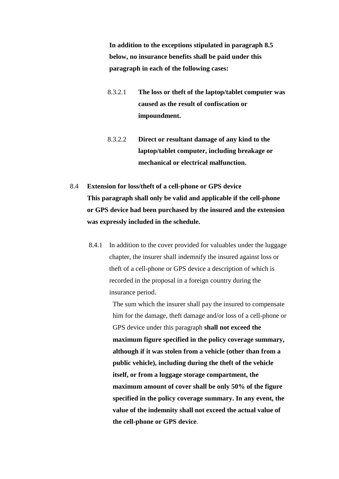**In addition to the exceptions stipulated in paragraph 8.5 below, no insurance benefits shall be paid under this paragraph in each of the following cases:**

- 8.3.2.1 **The loss or theft of the laptop/tablet computer was caused as the result of confiscation or impoundment.**
- 8.3.2.2 **Direct or resultant damage of any kind to the laptop/tablet computer, including breakage or mechanical or electrical malfunction.**
- 8.4 **Extension for loss/theft of a cell-phone or GPS device This paragraph shall only be valid and applicable if the cell-phone or GPS device had been purchased by the insured and the extension was expressly included in the schedule.**
	- 8.4.1 In addition to the cover provided for valuables under the luggage chapter, the insurer shall indemnify the insured against loss or theft of a cell-phone or GPS device a description of which is recorded in the proposal in a foreign country during the insurance period.

The sum which the insurer shall pay the insured to compensate him for the damage, theft damage and/or loss of a cell-phone or GPS device under this paragraph **shall not exceed the maximum figure specified in the policy coverage summary, although if it was stolen from a vehicle (other than from a public vehicle), including during the theft of the vehicle itself, or from a luggage storage compartment, the maximum amount of cover shall be only 50% of the figure specified in the policy coverage summary. In any event, the value of the indemnity shall not exceed the actual value of the cell-phone or GPS device**.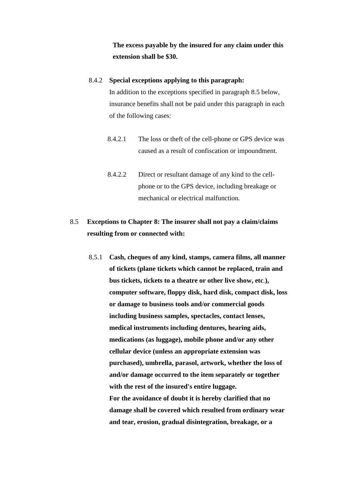**The excess payable by the insured for any claim under this extension shall be \$30.** 

### 8.4.2 **Special exceptions applying to this paragraph:**

In addition to the exceptions specified in paragraph 8.5 below, insurance benefits shall not be paid under this paragraph in each of the following cases:

- 8.4.2.1 The loss or theft of the cell-phone or GPS device was caused as a result of confiscation or impoundment.
- 8.4.2.2 Direct or resultant damage of any kind to the cellphone or to the GPS device, including breakage or mechanical or electrical malfunction.

# 8.5 **Exceptions to Chapter 8: The insurer shall not pay a claim/claims resulting from or connected with:**

8.5.1 **Cash, cheques of any kind, stamps, camera films, all manner of tickets (plane tickets which cannot be replaced, train and bus tickets, tickets to a theatre or other live show, etc**.**), computer software, floppy disk, hard disk, compact disk, loss or damage to business tools and/or commercial goods including business samples, spectacles, contact lenses, medical instruments including dentures, hearing aids, medications (as luggage), mobile phone and/or any other cellular device (unless an appropriate extension was purchased), umbrella, parasol, artwork, whether the loss of and/or damage occurred to the item separately or together with the rest of the insured's entire luggage. For the avoidance of doubt it is hereby clarified that no damage shall be covered which resulted from ordinary wear and tear, erosion, gradual disintegration, breakage, or a**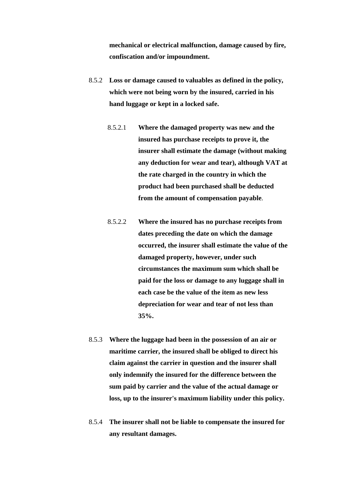**mechanical or electrical malfunction, damage caused by fire, confiscation and/or impoundment.** 

- 8.5.2 **Loss or damage caused to valuables as defined in the policy, which were not being worn by the insured, carried in his hand luggage or kept in a locked safe.** 
	- 8.5.2.1 **Where the damaged property was new and the insured has purchase receipts to prove it, the insurer shall estimate the damage (without making any deduction for wear and tear), although VAT at the rate charged in the country in which the product had been purchased shall be deducted from the amount of compensation payable**.
	- 8.5.2.2 **Where the insured has no purchase receipts from dates preceding the date on which the damage occurred, the insurer shall estimate the value of the damaged property, however, under such circumstances the maximum sum which shall be paid for the loss or damage to any luggage shall in each case be the value of the item as new less depreciation for wear and tear of not less than 35%.**
- 8.5.3 **Where the luggage had been in the possession of an air or maritime carrier, the insured shall be obliged to direct his claim against the carrier in question and the insurer shall only indemnify the insured for the difference between the sum paid by carrier and the value of the actual damage or loss, up to the insurer's maximum liability under this policy.**
- 8.5.4 **The insurer shall not be liable to compensate the insured for any resultant damages.**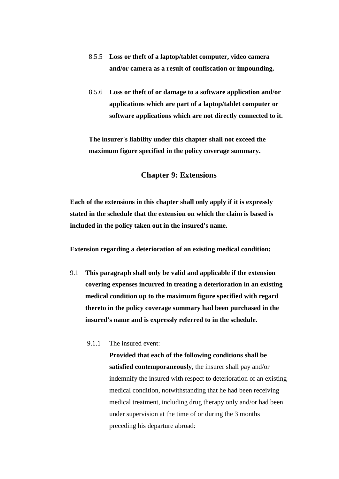- 8.5.5 **Loss or theft of a laptop/tablet computer, video camera and/or camera as a result of confiscation or impounding.**
- 8.5.6 **Loss or theft of or damage to a software application and/or applications which are part of a laptop/tablet computer or software applications which are not directly connected to it.**

**The insurer's liability under this chapter shall not exceed the maximum figure specified in the policy coverage summary.** 

### **Chapter 9: Extensions**

**Each of the extensions in this chapter shall only apply if it is expressly stated in the schedule that the extension on which the claim is based is included in the policy taken out in the insured's name.**

**Extension regarding a deterioration of an existing medical condition:** 

- 9.1 **This paragraph shall only be valid and applicable if the extension covering expenses incurred in treating a deterioration in an existing medical condition up to the maximum figure specified with regard thereto in the policy coverage summary had been purchased in the insured's name and is expressly referred to in the schedule.**
	- 9.1.1 The insured event:

**Provided that each of the following conditions shall be satisfied contemporaneously**, the insurer shall pay and/or indemnify the insured with respect to deterioration of an existing medical condition, notwithstanding that he had been receiving medical treatment, including drug therapy only and/or had been under supervision at the time of or during the 3 months preceding his departure abroad: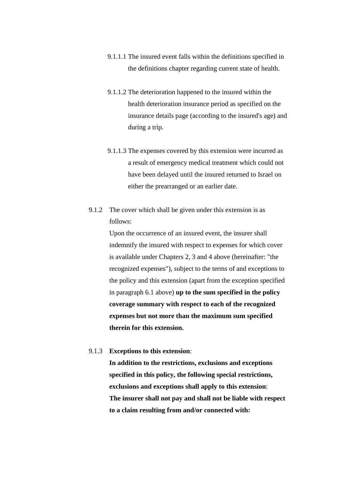- 9.1.1.1 The insured event falls within the definitions specified in the definitions chapter regarding current state of health.
- 9.1.1.2 The deterioration happened to the insured within the health deterioration insurance period as specified on the insurance details page (according to the insured's age) and during a trip.
- 9.1.1.3 The expenses covered by this extension were incurred as a result of emergency medical treatment which could not have been delayed until the insured returned to Israel on either the prearranged or an earlier date.
- 9.1.2 The cover which shall be given under this extension is as follows:

Upon the occurrence of an insured event, the insurer shall indemnify the insured with respect to expenses for which cover is available under Chapters 2, 3 and 4 above (hereinafter: "the recognized expenses"), subject to the terms of and exceptions to the policy and this extension (apart from the exception specified in paragraph 6.1 above) **up to the sum specified in the policy coverage summary with respect to each of the recognized expenses but not more than the maximum sum specified therein for this extension.** 

9.1.3 **Exceptions to this extension**:

**In addition to the restrictions, exclusions and exceptions specified in this policy, the following special restrictions, exclusions and exceptions shall apply to this extension**: **The insurer shall not pay and shall not be liable with respect to a claim resulting from and/or connected with:**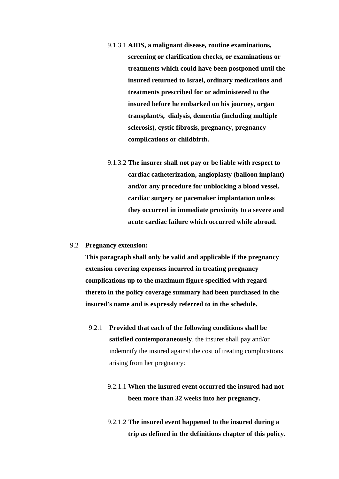- 9.1.3.1 **AIDS, a malignant disease, routine examinations, screening or clarification checks, or examinations or treatments which could have been postponed until the insured returned to Israel, ordinary medications and treatments prescribed for or administered to the insured before he embarked on his journey, organ transplant/s, dialysis, dementia (including multiple sclerosis), cystic fibrosis, pregnancy, pregnancy complications or childbirth.**
- 9.1.3.2 **The insurer shall not pay or be liable with respect to cardiac catheterization, angioplasty (balloon implant) and/or any procedure for unblocking a blood vessel, cardiac surgery or pacemaker implantation unless they occurred in immediate proximity to a severe and acute cardiac failure which occurred while abroad.**
- 9.2 **Pregnancy extension:**

**This paragraph shall only be valid and applicable if the pregnancy extension covering expenses incurred in treating pregnancy complications up to the maximum figure specified with regard thereto in the policy coverage summary had been purchased in the insured's name and is expressly referred to in the schedule.** 

- 9.2.1 **Provided that each of the following conditions shall be satisfied contemporaneously**, the insurer shall pay and/or indemnify the insured against the cost of treating complications arising from her pregnancy:
	- 9.2.1.1 **When the insured event occurred the insured had not been more than 32 weeks into her pregnancy.**
	- 9.2.1.2 **The insured event happened to the insured during a trip as defined in the definitions chapter of this policy.**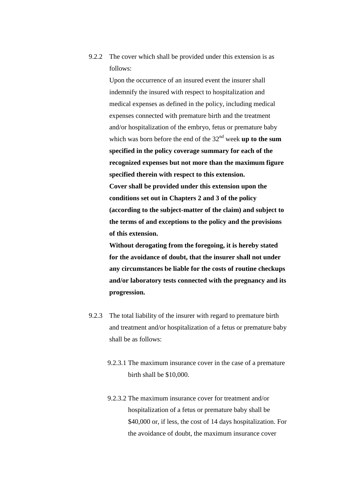9.2.2 The cover which shall be provided under this extension is as follows:

> Upon the occurrence of an insured event the insurer shall indemnify the insured with respect to hospitalization and medical expenses as defined in the policy, including medical expenses connected with premature birth and the treatment and/or hospitalization of the embryo, fetus or premature baby which was born before the end of the 32<sup>nd</sup> week **up to the sum specified in the policy coverage summary for each of the recognized expenses but not more than the maximum figure specified therein with respect to this extension. Cover shall be provided under this extension upon the conditions set out in Chapters 2 and 3 of the policy (according to the subject-matter of the claim) and subject to the terms of and exceptions to the policy and the provisions of this extension.**

**Without derogating from the foregoing, it is hereby stated for the avoidance of doubt, that the insurer shall not under any circumstances be liable for the costs of routine checkups and/or laboratory tests connected with the pregnancy and its progression.** 

- 9.2.3 The total liability of the insurer with regard to premature birth and treatment and/or hospitalization of a fetus or premature baby shall be as follows:
	- 9.2.3.1 The maximum insurance cover in the case of a premature birth shall be \$10,000.
	- 9.2.3.2 The maximum insurance cover for treatment and/or hospitalization of a fetus or premature baby shall be \$40,000 or, if less, the cost of 14 days hospitalization. For the avoidance of doubt, the maximum insurance cover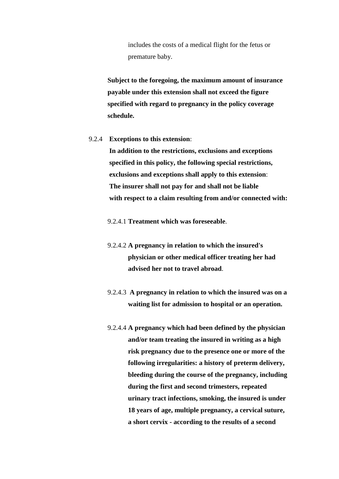includes the costs of a medical flight for the fetus or premature baby.

**Subject to the foregoing, the maximum amount of insurance payable under this extension shall not exceed the figure specified with regard to pregnancy in the policy coverage schedule.** 

### 9.2.4 **Exceptions to this extension**:

**In addition to the restrictions, exclusions and exceptions specified in this policy, the following special restrictions, exclusions and exceptions shall apply to this extension**:  **The insurer shall not pay for and shall not be liable with respect to a claim resulting from and/or connected with:** 

9.2.4.1 **Treatment which was foreseeable**.

- 9.2.4.2 **A pregnancy in relation to which the insured's physician or other medical officer treating her had advised her not to travel abroad**.
- 9.2.4.3 **A pregnancy in relation to which the insured was on a waiting list for admission to hospital or an operation.**
- 9.2.4.4 **A pregnancy which had been defined by the physician and/or team treating the insured in writing as a high risk pregnancy due to the presence one or more of the following irregularities: a history of preterm delivery, bleeding during the course of the pregnancy, including during the first and second trimesters, repeated urinary tract infections, smoking, the insured is under 18 years of age, multiple pregnancy, a cervical suture, a short cervix - according to the results of a second**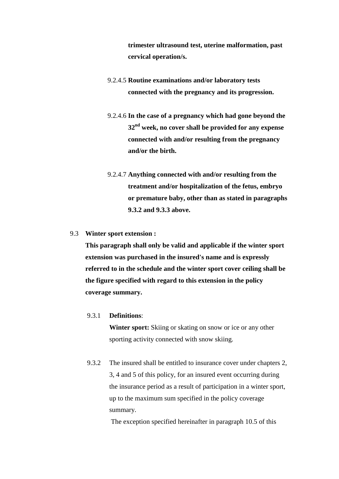**trimester ultrasound test, uterine malformation, past cervical operation/s.**

- 9.2.4.5 **Routine examinations and/or laboratory tests connected with the pregnancy and its progression.**
- 9.2.4.6 **In the case of a pregnancy which had gone beyond the 32nd week, no cover shall be provided for any expense connected with and/or resulting from the pregnancy and/or the birth.**
- 9.2.4.7 **Anything connected with and/or resulting from the treatment and/or hospitalization of the fetus, embryo or premature baby, other than as stated in paragraphs 9.3.2 and 9.3.3 above.**

### 9.3 **Winter sport extension :**

**This paragraph shall only be valid and applicable if the winter sport extension was purchased in the insured's name and is expressly referred to in the schedule and the winter sport cover ceiling shall be the figure specified with regard to this extension in the policy coverage summary.**

### 9.3.1 **Definitions**:

**Winter sport:** Skiing or skating on snow or ice or any other sporting activity connected with snow skiing.

9.3.2 The insured shall be entitled to insurance cover under chapters 2, 3, 4 and 5 of this policy, for an insured event occurring during the insurance period as a result of participation in a winter sport, up to the maximum sum specified in the policy coverage summary.

The exception specified hereinafter in paragraph 10.5 of this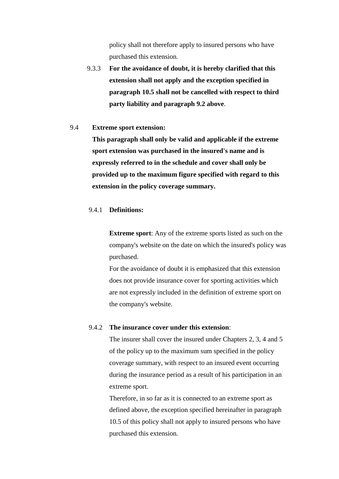policy shall not therefore apply to insured persons who have purchased this extension.

9.3.3 **For the avoidance of doubt, it is hereby clarified that this extension shall not apply and the exception specified in paragraph 10.5 shall not be cancelled with respect to third party liability and paragraph 9.2 above**.

### 9.4 **Extreme sport extension:**

 **This paragraph shall only be valid and applicable if the extreme sport extension was purchased in the insured's name and is expressly referred to in the schedule and cover shall only be provided up to the maximum figure specified with regard to this extension in the policy coverage summary.**

### 9.4.1 **Definitions:**

**Extreme sport**: Any of the extreme sports listed as such on the company's website on the date on which the insured's policy was purchased.

For the avoidance of doubt it is emphasized that this extension does not provide insurance cover for sporting activities which are not expressly included in the definition of extreme sport on the company's website.

### 9.4.2 **The insurance cover under this extension**:

The insurer shall cover the insured under Chapters 2, 3, 4 and 5 of the policy up to the maximum sum specified in the policy coverage summary, with respect to an insured event occurring during the insurance period as a result of his participation in an extreme sport.

Therefore, in so far as it is connected to an extreme sport as defined above, the exception specified hereinafter in paragraph 10.5 of this policy shall not apply to insured persons who have purchased this extension.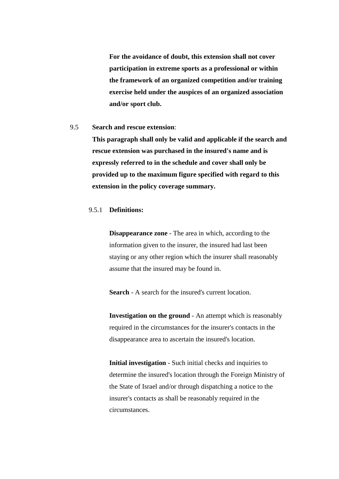**For the avoidance of doubt, this extension shall not cover participation in extreme sports as a professional or within the framework of an organized competition and/or training exercise held under the auspices of an organized association and/or sport club.** 

### 9.5 **Search and rescue extension**:

 **This paragraph shall only be valid and applicable if the search and rescue extension was purchased in the insured's name and is expressly referred to in the schedule and cover shall only be provided up to the maximum figure specified with regard to this extension in the policy coverage summary.**

### 9.5.1 **Definitions:**

**Disappearance zone** - The area in which, according to the information given to the insurer, the insured had last been staying or any other region which the insurer shall reasonably assume that the insured may be found in.

**Search** - A search for the insured's current location.

**Investigation on the ground** - An attempt which is reasonably required in the circumstances for the insurer's contacts in the disappearance area to ascertain the insured's location.

**Initial investigation** - Such initial checks and inquiries to determine the insured's location through the Foreign Ministry of the State of Israel and/or through dispatching a notice to the insurer's contacts as shall be reasonably required in the circumstances.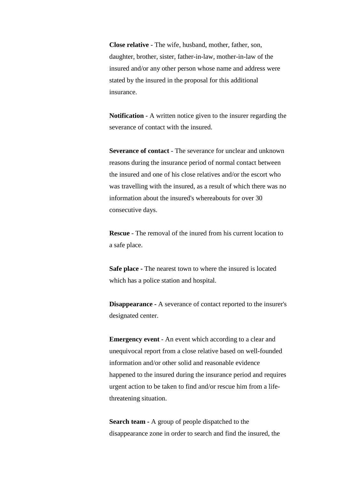**Close relative** - The wife, husband, mother, father, son, daughter, brother, sister, father-in-law, mother-in-law of the insured and/or any other person whose name and address were stated by the insured in the proposal for this additional insurance.

**Notification** - A written notice given to the insurer regarding the severance of contact with the insured.

**Severance of contact - The severance for unclear and unknown** reasons during the insurance period of normal contact between the insured and one of his close relatives and/or the escort who was travelling with the insured, as a result of which there was no information about the insured's whereabouts for over 30 consecutive days.

**Rescue** - The removal of the inured from his current location to a safe place.

**Safe place -** The nearest town to where the insured is located which has a police station and hospital.

**Disappearance -** A severance of contact reported to the insurer's designated center.

**Emergency event** - An event which according to a clear and unequivocal report from a close relative based on well-founded information and/or other solid and reasonable evidence happened to the insured during the insurance period and requires urgent action to be taken to find and/or rescue him from a lifethreatening situation.

**Search team -** A group of people dispatched to the disappearance zone in order to search and find the insured, the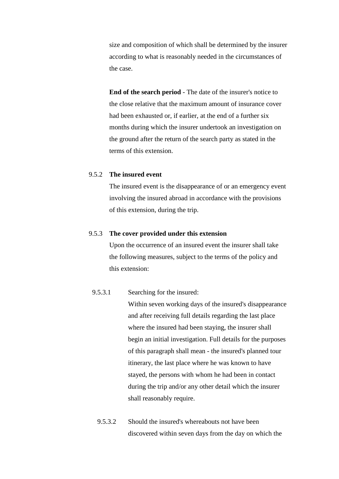size and composition of which shall be determined by the insurer according to what is reasonably needed in the circumstances of the case.

**End of the search period** - The date of the insurer's notice to the close relative that the maximum amount of insurance cover had been exhausted or, if earlier, at the end of a further six months during which the insurer undertook an investigation on the ground after the return of the search party as stated in the terms of this extension.

### 9.5.2 **The insured event**

The insured event is the disappearance of or an emergency event involving the insured abroad in accordance with the provisions of this extension, during the trip.

### 9.5.3 **The cover provided under this extension**

Upon the occurrence of an insured event the insurer shall take the following measures, subject to the terms of the policy and this extension:

### 9.5.3.1 Searching for the insured:

Within seven working days of the insured's disappearance and after receiving full details regarding the last place where the insured had been staying, the insurer shall begin an initial investigation. Full details for the purposes of this paragraph shall mean - the insured's planned tour itinerary, the last place where he was known to have stayed, the persons with whom he had been in contact during the trip and/or any other detail which the insurer shall reasonably require.

9.5.3.2 Should the insured's whereabouts not have been discovered within seven days from the day on which the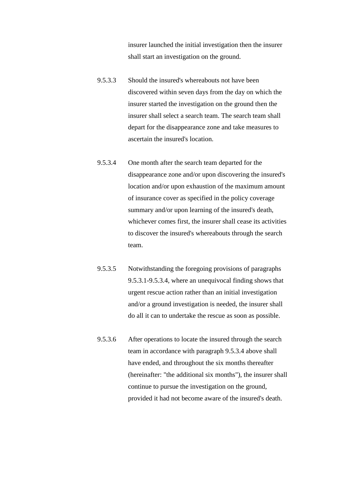insurer launched the initial investigation then the insurer shall start an investigation on the ground.

- 9.5.3.3 Should the insured's whereabouts not have been discovered within seven days from the day on which the insurer started the investigation on the ground then the insurer shall select a search team. The search team shall depart for the disappearance zone and take measures to ascertain the insured's location.
- 9.5.3.4 One month after the search team departed for the disappearance zone and/or upon discovering the insured's location and/or upon exhaustion of the maximum amount of insurance cover as specified in the policy coverage summary and/or upon learning of the insured's death, whichever comes first, the insurer shall cease its activities to discover the insured's whereabouts through the search team.
- 9.5.3.5 Notwithstanding the foregoing provisions of paragraphs 9.5.3.1-9.5.3.4, where an unequivocal finding shows that urgent rescue action rather than an initial investigation and/or a ground investigation is needed, the insurer shall do all it can to undertake the rescue as soon as possible.
- 9.5.3.6 After operations to locate the insured through the search team in accordance with paragraph 9.5.3.4 above shall have ended, and throughout the six months thereafter (hereinafter: "the additional six months"), the insurer shall continue to pursue the investigation on the ground, provided it had not become aware of the insured's death.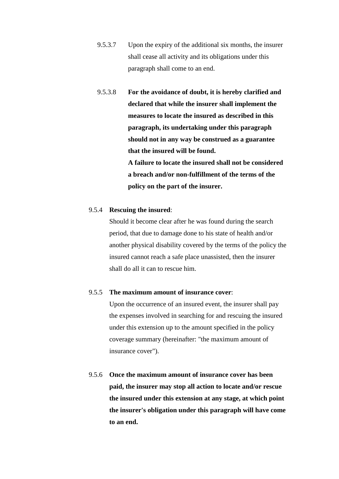- 9.5.3.7 Upon the expiry of the additional six months, the insurer shall cease all activity and its obligations under this paragraph shall come to an end.
- 9.5.3.8 **For the avoidance of doubt, it is hereby clarified and declared that while the insurer shall implement the measures to locate the insured as described in this paragraph, its undertaking under this paragraph should not in any way be construed as a guarantee that the insured will be found. A failure to locate the insured shall not be considered**

**a breach and/or non-fulfillment of the terms of the policy on the part of the insurer.** 

### 9.5.4 **Rescuing the insured**:

Should it become clear after he was found during the search period, that due to damage done to his state of health and/or another physical disability covered by the terms of the policy the insured cannot reach a safe place unassisted, then the insurer shall do all it can to rescue him.

#### 9.5.5 **The maximum amount of insurance cover**:

Upon the occurrence of an insured event, the insurer shall pay the expenses involved in searching for and rescuing the insured under this extension up to the amount specified in the policy coverage summary (hereinafter: "the maximum amount of insurance cover").

9.5.6 **Once the maximum amount of insurance cover has been paid, the insurer may stop all action to locate and/or rescue the insured under this extension at any stage, at which point the insurer's obligation under this paragraph will have come to an end.**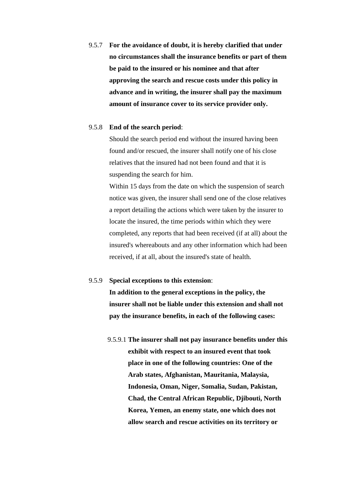9.5.7 **For the avoidance of doubt, it is hereby clarified that under no circumstances shall the insurance benefits or part of them be paid to the insured or his nominee and that after approving the search and rescue costs under this policy in advance and in writing, the insurer shall pay the maximum amount of insurance cover to its service provider only.**

### 9.5.8 **End of the search period**:

Should the search period end without the insured having been found and/or rescued, the insurer shall notify one of his close relatives that the insured had not been found and that it is suspending the search for him.

Within 15 days from the date on which the suspension of search notice was given, the insurer shall send one of the close relatives a report detailing the actions which were taken by the insurer to locate the insured, the time periods within which they were completed, any reports that had been received (if at all) about the insured's whereabouts and any other information which had been received, if at all, about the insured's state of health.

### 9.5.9 **Special exceptions to this extension**:

**In addition to the general exceptions in the policy, the insurer shall not be liable under this extension and shall not pay the insurance benefits, in each of the following cases:**

9.5.9.1 **The insurer shall not pay insurance benefits under this exhibit with respect to an insured event that took place in one of the following countries: One of the Arab states, Afghanistan, Mauritania, Malaysia, Indonesia, Oman, Niger, Somalia, Sudan, Pakistan, Chad, the Central African Republic, Djibouti, North Korea, Yemen, an enemy state, one which does not allow search and rescue activities on its territory or**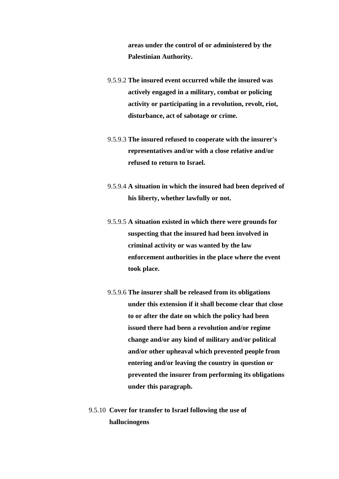**areas under the control of or administered by the Palestinian Authority.** 

- 9.5.9.2 **The insured event occurred while the insured was actively engaged in a military, combat or policing activity or participating in a revolution, revolt, riot, disturbance, act of sabotage or crime.**
- 9.5.9.3 **The insured refused to cooperate with the insurer's representatives and/or with a close relative and/or refused to return to Israel.**
- 9.5.9.4 **A situation in which the insured had been deprived of his liberty, whether lawfully or not.**
- 9.5.9.5 **A situation existed in which there were grounds for suspecting that the insured had been involved in criminal activity or was wanted by the law enforcement authorities in the place where the event took place.**
- 9.5.9.6 **The insurer shall be released from its obligations under this extension if it shall become clear that close to or after the date on which the policy had been issued there had been a revolution and/or regime change and/or any kind of military and/or political and/or other upheaval which prevented people from entering and/or leaving the country in question or prevented the insurer from performing its obligations under this paragraph.**
- 9.5.10 **Cover for transfer to Israel following the use of hallucinogens**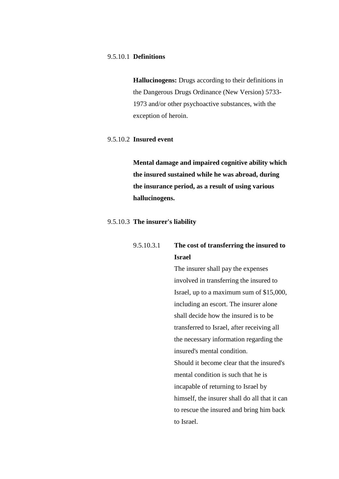### 9.5.10.1 **Definitions**

**Hallucinogens:** Drugs according to their definitions in the Dangerous Drugs Ordinance (New Version) 5733- 1973 and/or other psychoactive substances, with the exception of heroin.

### 9.5.10.2 **Insured event**

**Mental damage and impaired cognitive ability which the insured sustained while he was abroad, during the insurance period, as a result of using various hallucinogens.**

### 9.5.10.3 **The insurer's liability**

| 9.5.10.3.1 | The cost of transferring the insured to |
|------------|-----------------------------------------|
|            | Israel                                  |

The insurer shall pay the expenses involved in transferring the insured to Israel, up to a maximum sum of \$15,000, including an escort. The insurer alone shall decide how the insured is to be transferred to Israel, after receiving all the necessary information regarding the insured's mental condition. Should it become clear that the insured's mental condition is such that he is incapable of returning to Israel by himself, the insurer shall do all that it can to rescue the insured and bring him back to Israel.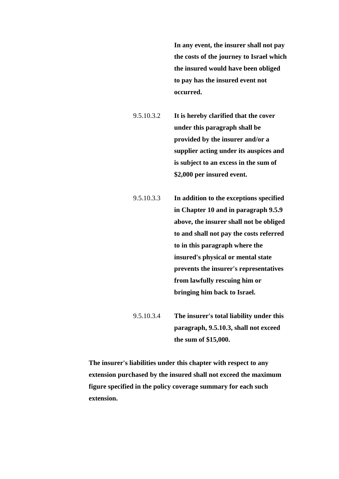**In any event, the insurer shall not pay the costs of the journey to Israel which the insured would have been obliged to pay has the insured event not occurred.** 

9.5.10.3.2 **It is hereby clarified that the cover under this paragraph shall be provided by the insurer and/or a supplier acting under its auspices and is subject to an excess in the sum of \$2,000 per insured event.** 

9.5.10.3.3 **In addition to the exceptions specified in Chapter 10 and in paragraph 9.5.9 above, the insurer shall not be obliged to and shall not pay the costs referred to in this paragraph where the insured's physical or mental state prevents the insurer's representatives from lawfully rescuing him or bringing him back to Israel.** 

9.5.10.3.4 **The insurer's total liability under this paragraph, 9.5.10.3, shall not exceed the sum of \$15,000.**

**The insurer's liabilities under this chapter with respect to any extension purchased by the insured shall not exceed the maximum figure specified in the policy coverage summary for each such extension.**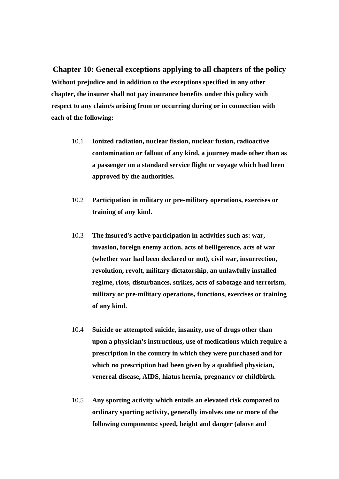**Chapter 10: General exceptions applying to all chapters of the policy Without prejudice and in addition to the exceptions specified in any other chapter, the insurer shall not pay insurance benefits under this policy with respect to any claim/s arising from or occurring during or in connection with each of the following:**

- 10.1 **Ionized radiation, nuclear fission, nuclear fusion, radioactive contamination or fallout of any kind, a journey made other than as a passenger on a standard service flight or voyage which had been approved by the authorities.**
- 10.2 **Participation in military or pre-military operations, exercises or training of any kind.**
- 10.3 **The insured's active participation in activities such as: war, invasion, foreign enemy action, acts of belligerence, acts of war (whether war had been declared or not), civil war, insurrection, revolution, revolt, military dictatorship, an unlawfully installed regime, riots, disturbances, strikes, acts of sabotage and terrorism, military or pre-military operations, functions, exercises or training of any kind.**
- 10.4 **Suicide or attempted suicide, insanity, use of drugs other than upon a physician's instructions, use of medications which require a prescription in the country in which they were purchased and for which no prescription had been given by a qualified physician, venereal disease, AIDS, hiatus hernia, pregnancy or childbirth.**
- 10.5 **Any sporting activity which entails an elevated risk compared to ordinary sporting activity, generally involves one or more of the following components: speed, height and danger (above and**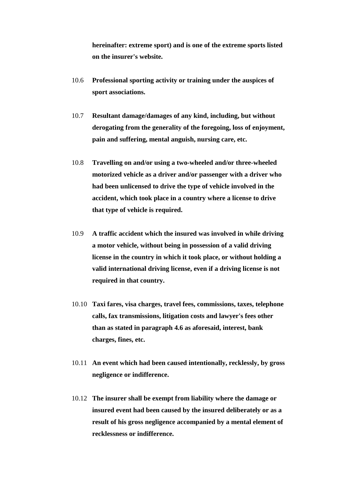**hereinafter: extreme sport) and is one of the extreme sports listed on the insurer's website.** 

- 10.6 **Professional sporting activity or training under the auspices of sport associations.**
- 10.7 **Resultant damage/damages of any kind, including, but without derogating from the generality of the foregoing, loss of enjoyment, pain and suffering, mental anguish, nursing care, etc.**
- 10.8 **Travelling on and/or using a two-wheeled and/or three-wheeled motorized vehicle as a driver and/or passenger with a driver who had been unlicensed to drive the type of vehicle involved in the accident, which took place in a country where a license to drive that type of vehicle is required.**
- 10.9 **A traffic accident which the insured was involved in while driving a motor vehicle, without being in possession of a valid driving license in the country in which it took place, or without holding a valid international driving license, even if a driving license is not required in that country.**
- 10.10 **Taxi fares, visa charges, travel fees, commissions, taxes, telephone calls, fax transmissions, litigation costs and lawyer's fees other than as stated in paragraph 4.6 as aforesaid, interest, bank charges, fines, etc.**
- 10.11 **An event which had been caused intentionally, recklessly, by gross negligence or indifference.**
- 10.12 **The insurer shall be exempt from liability where the damage or insured event had been caused by the insured deliberately or as a result of his gross negligence accompanied by a mental element of recklessness or indifference.**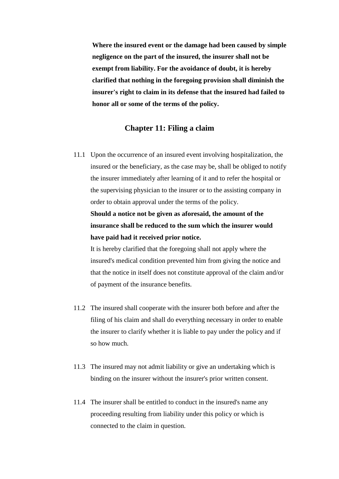**Where the insured event or the damage had been caused by simple negligence on the part of the insured, the insurer shall not be exempt from liability. For the avoidance of doubt, it is hereby clarified that nothing in the foregoing provision shall diminish the insurer's right to claim in its defense that the insured had failed to honor all or some of the terms of the policy.** 

### **Chapter 11: Filing a claim**

11.1 Upon the occurrence of an insured event involving hospitalization, the insured or the beneficiary, as the case may be, shall be obliged to notify the insurer immediately after learning of it and to refer the hospital or the supervising physician to the insurer or to the assisting company in order to obtain approval under the terms of the policy.

**Should a notice not be given as aforesaid, the amount of the insurance shall be reduced to the sum which the insurer would have paid had it received prior notice.** 

It is hereby clarified that the foregoing shall not apply where the insured's medical condition prevented him from giving the notice and that the notice in itself does not constitute approval of the claim and/or of payment of the insurance benefits.

- 11.2 The insured shall cooperate with the insurer both before and after the filing of his claim and shall do everything necessary in order to enable the insurer to clarify whether it is liable to pay under the policy and if so how much.
- 11.3 The insured may not admit liability or give an undertaking which is binding on the insurer without the insurer's prior written consent.
- 11.4 The insurer shall be entitled to conduct in the insured's name any proceeding resulting from liability under this policy or which is connected to the claim in question.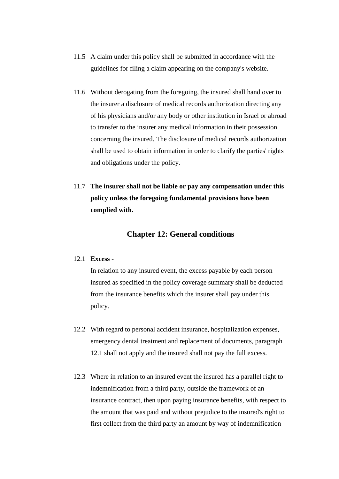- 11.5 A claim under this policy shall be submitted in accordance with the guidelines for filing a claim appearing on the company's website.
- 11.6 Without derogating from the foregoing, the insured shall hand over to the insurer a disclosure of medical records authorization directing any of his physicians and/or any body or other institution in Israel or abroad to transfer to the insurer any medical information in their possession concerning the insured. The disclosure of medical records authorization shall be used to obtain information in order to clarify the parties' rights and obligations under the policy.
- 11.7 **The insurer shall not be liable or pay any compensation under this policy unless the foregoing fundamental provisions have been complied with.**

# **Chapter 12: General conditions**

### 12.1 **Excess** -

In relation to any insured event, the excess payable by each person insured as specified in the policy coverage summary shall be deducted from the insurance benefits which the insurer shall pay under this policy.

- 12.2 With regard to personal accident insurance, hospitalization expenses, emergency dental treatment and replacement of documents, paragraph 12.1 shall not apply and the insured shall not pay the full excess.
- 12.3 Where in relation to an insured event the insured has a parallel right to indemnification from a third party, outside the framework of an insurance contract, then upon paying insurance benefits, with respect to the amount that was paid and without prejudice to the insured's right to first collect from the third party an amount by way of indemnification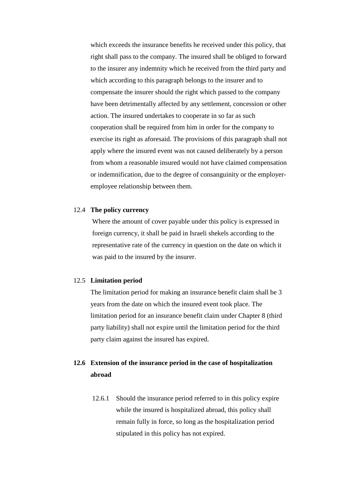which exceeds the insurance benefits he received under this policy, that right shall pass to the company. The insured shall be obliged to forward to the insurer any indemnity which he received from the third party and which according to this paragraph belongs to the insurer and to compensate the insurer should the right which passed to the company have been detrimentally affected by any settlement, concession or other action. The insured undertakes to cooperate in so far as such cooperation shall be required from him in order for the company to exercise its right as aforesaid. The provisions of this paragraph shall not apply where the insured event was not caused deliberately by a person from whom a reasonable insured would not have claimed compensation or indemnification, due to the degree of consanguinity or the employeremployee relationship between them.

### 12.4 **The policy currency**

Where the amount of cover payable under this policy is expressed in foreign currency, it shall be paid in Israeli shekels according to the representative rate of the currency in question on the date on which it was paid to the insured by the insurer.

### 12.5 **Limitation period**

The limitation period for making an insurance benefit claim shall be 3 years from the date on which the insured event took place. The limitation period for an insurance benefit claim under Chapter 8 (third party liability) shall not expire until the limitation period for the third party claim against the insured has expired.

# **12.6 Extension of the insurance period in the case of hospitalization abroad**

12.6.1 Should the insurance period referred to in this policy expire while the insured is hospitalized abroad, this policy shall remain fully in force, so long as the hospitalization period stipulated in this policy has not expired.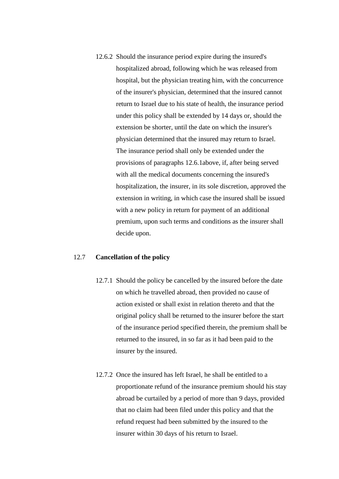12.6.2 Should the insurance period expire during the insured's hospitalized abroad, following which he was released from hospital, but the physician treating him, with the concurrence of the insurer's physician, determined that the insured cannot return to Israel due to his state of health, the insurance period under this policy shall be extended by 14 days or, should the extension be shorter, until the date on which the insurer's physician determined that the insured may return to Israel. The insurance period shall only be extended under the provisions of paragraphs 12.6.1above, if, after being served with all the medical documents concerning the insured's hospitalization, the insurer, in its sole discretion, approved the extension in writing, in which case the insured shall be issued with a new policy in return for payment of an additional premium, upon such terms and conditions as the insurer shall decide upon.

### 12.7 **Cancellation of the policy**

- 12.7.1 Should the policy be cancelled by the insured before the date on which he travelled abroad, then provided no cause of action existed or shall exist in relation thereto and that the original policy shall be returned to the insurer before the start of the insurance period specified therein, the premium shall be returned to the insured, in so far as it had been paid to the insurer by the insured.
- 12.7.2 Once the insured has left Israel, he shall be entitled to a proportionate refund of the insurance premium should his stay abroad be curtailed by a period of more than 9 days, provided that no claim had been filed under this policy and that the refund request had been submitted by the insured to the insurer within 30 days of his return to Israel.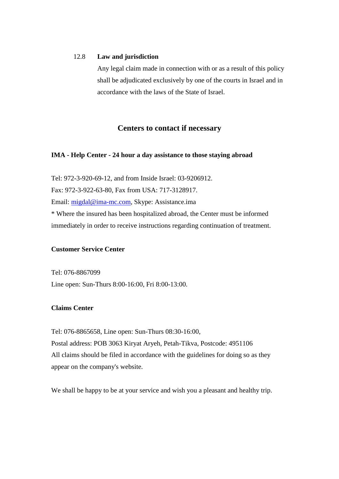### 12.8 **Law and jurisdiction**

Any legal claim made in connection with or as a result of this policy shall be adjudicated exclusively by one of the courts in Israel and in accordance with the laws of the State of Israel.

# **Centers to contact if necessary**

### **IMA - Help Center - 24 hour a day assistance to those staying abroad**

Tel: 972-3-920-69-12, and from Inside Israel: 03-9206912. Fax: 972-3-922-63-80, Fax from USA: 717-3128917. Email: [migdal@ima-mc.com,](mailto:migdal@ima-mc.com) Skype: Assistance.ima \* Where the insured has been hospitalized abroad, the Center must be informed immediately in order to receive instructions regarding continuation of treatment.

### **Customer Service Center**

Tel: 076-8867099 Line open: Sun-Thurs 8:00-16:00, Fri 8:00-13:00.

### **Claims Center**

Tel: 076-8865658, Line open: Sun-Thurs 08:30-16:00, Postal address: POB 3063 Kiryat Aryeh, Petah-Tikva, Postcode: 4951106 All claims should be filed in accordance with the guidelines for doing so as they appear on the company's website.

We shall be happy to be at your service and wish you a pleasant and healthy trip.